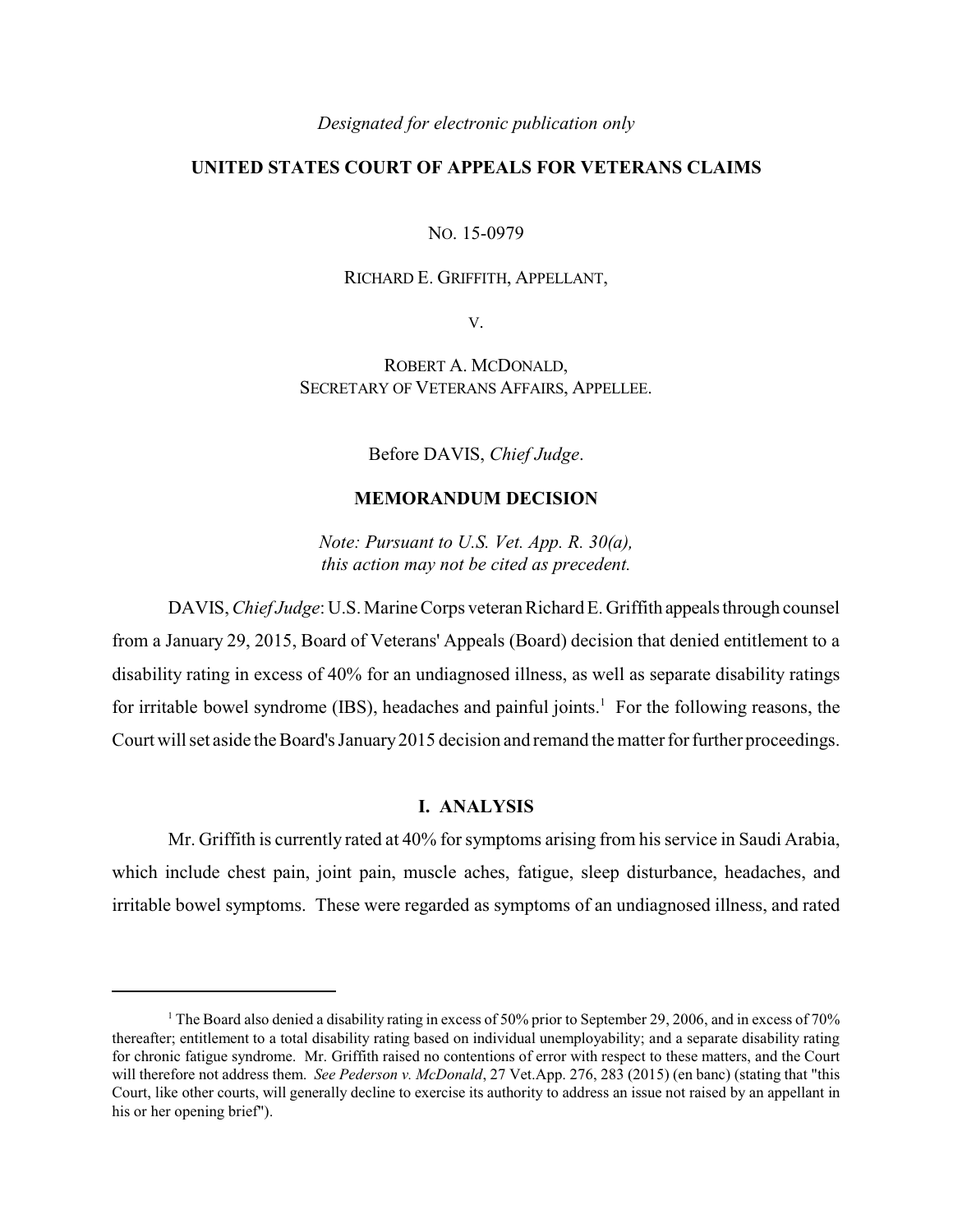## *Designated for electronic publication only*

### **UNITED STATES COURT OF APPEALS FOR VETERANS CLAIMS**

NO. 15-0979

#### RICHARD E. GRIFFITH, APPELLANT,

V.

ROBERT A. MCDONALD, SECRETARY OF VETERANS AFFAIRS, APPELLEE.

Before DAVIS, *Chief Judge*.

### **MEMORANDUM DECISION**

*Note: Pursuant to U.S. Vet. App. R. 30(a), this action may not be cited as precedent.*

DAVIS, *Chief Judge*: U.S. Marine Corps veteran Richard E. Griffith appeals through counsel from a January 29, 2015, Board of Veterans' Appeals (Board) decision that denied entitlement to a disability rating in excess of 40% for an undiagnosed illness, as well as separate disability ratings for irritable bowel syndrome (IBS), headaches and painful joints.<sup>1</sup> For the following reasons, the Court will set aside the Board's January2015 decision and remand the matter for further proceedings.

# **I. ANALYSIS**

Mr. Griffith is currently rated at 40% for symptoms arising from his service in Saudi Arabia, which include chest pain, joint pain, muscle aches, fatigue, sleep disturbance, headaches, and irritable bowel symptoms. These were regarded as symptoms of an undiagnosed illness, and rated

<sup>&</sup>lt;sup>1</sup> The Board also denied a disability rating in excess of 50% prior to September 29, 2006, and in excess of 70% thereafter; entitlement to a total disability rating based on individual unemployability; and a separate disability rating for chronic fatigue syndrome. Mr. Griffith raised no contentions of error with respect to these matters, and the Court will therefore not address them. *See Pederson v. McDonald*, 27 Vet.App. 276, 283 (2015) (en banc) (stating that "this Court, like other courts, will generally decline to exercise its authority to address an issue not raised by an appellant in his or her opening brief").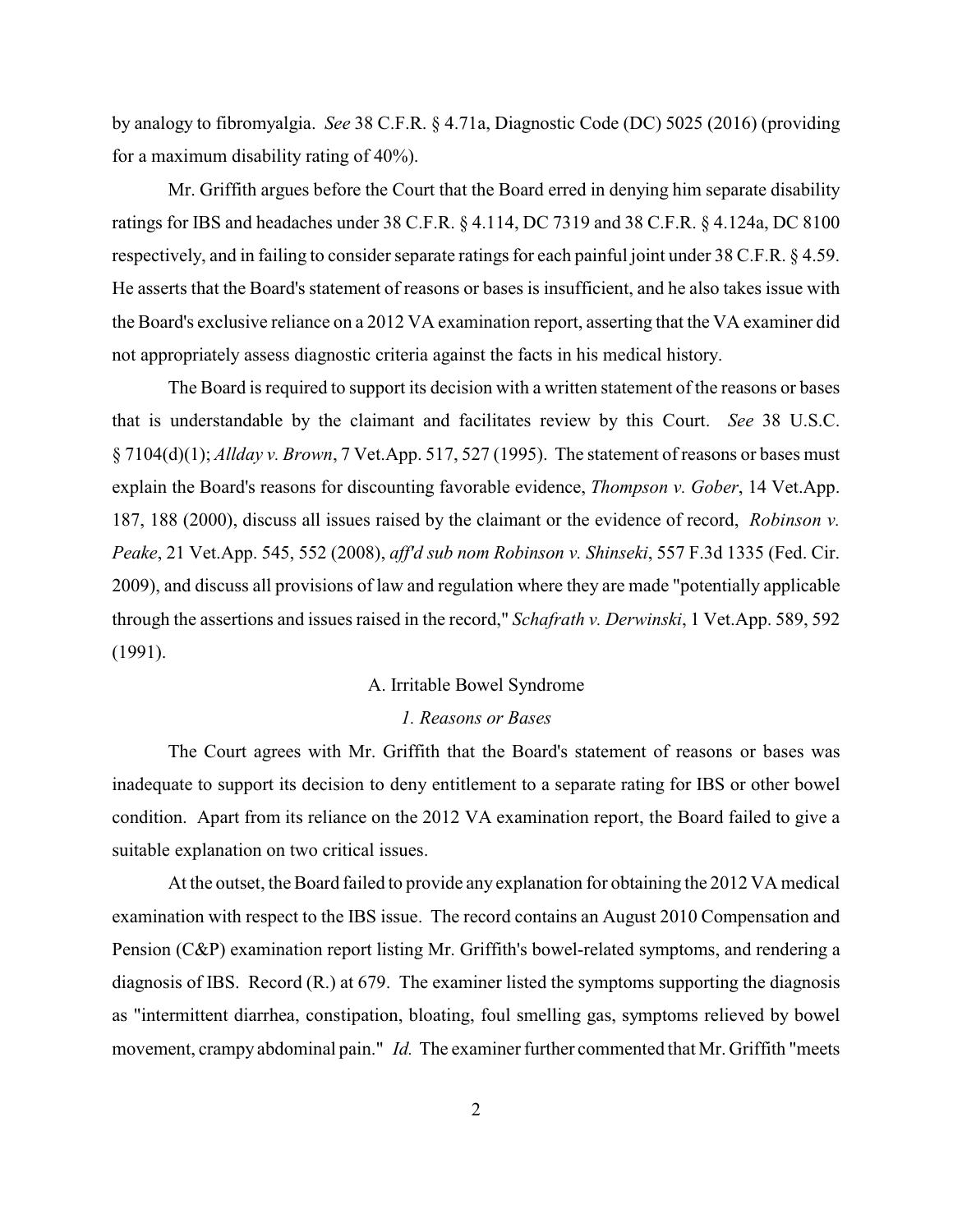by analogy to fibromyalgia. *See* 38 C.F.R. § 4.71a, Diagnostic Code (DC) 5025 (2016) (providing for a maximum disability rating of 40%).

Mr. Griffith argues before the Court that the Board erred in denying him separate disability ratings for IBS and headaches under 38 C.F.R. § 4.114, DC 7319 and 38 C.F.R. § 4.124a, DC 8100 respectively, and in failing to consider separate ratings for each painful joint under 38 C.F.R. § 4.59. He asserts that the Board's statement of reasons or bases is insufficient, and he also takes issue with the Board's exclusive reliance on a 2012 VA examination report, asserting that the VA examiner did not appropriately assess diagnostic criteria against the facts in his medical history.

The Board is required to support its decision with a written statement of the reasons or bases that is understandable by the claimant and facilitates review by this Court. *See* 38 U.S.C. § 7104(d)(1); *Allday v. Brown*, 7 Vet.App. 517, 527 (1995). The statement of reasons or bases must explain the Board's reasons for discounting favorable evidence, *Thompson v. Gober*, 14 Vet.App. 187, 188 (2000), discuss all issues raised by the claimant or the evidence of record, *Robinson v. Peake*, 21 Vet.App. 545, 552 (2008), *aff'd sub nom Robinson v. Shinseki*, 557 F.3d 1335 (Fed. Cir. 2009), and discuss all provisions of law and regulation where they are made "potentially applicable through the assertions and issues raised in the record," *Schafrath v. Derwinski*, 1 Vet.App. 589, 592 (1991).

#### A. Irritable Bowel Syndrome

#### *1. Reasons or Bases*

The Court agrees with Mr. Griffith that the Board's statement of reasons or bases was inadequate to support its decision to deny entitlement to a separate rating for IBS or other bowel condition. Apart from its reliance on the 2012 VA examination report, the Board failed to give a suitable explanation on two critical issues.

At the outset, the Board failed to provide any explanation for obtaining the 2012 VA medical examination with respect to the IBS issue. The record contains an August 2010 Compensation and Pension (C&P) examination report listing Mr. Griffith's bowel-related symptoms, and rendering a diagnosis of IBS. Record (R.) at 679. The examiner listed the symptoms supporting the diagnosis as "intermittent diarrhea, constipation, bloating, foul smelling gas, symptoms relieved by bowel movement, crampy abdominal pain." *Id.* The examiner further commented that Mr. Griffith "meets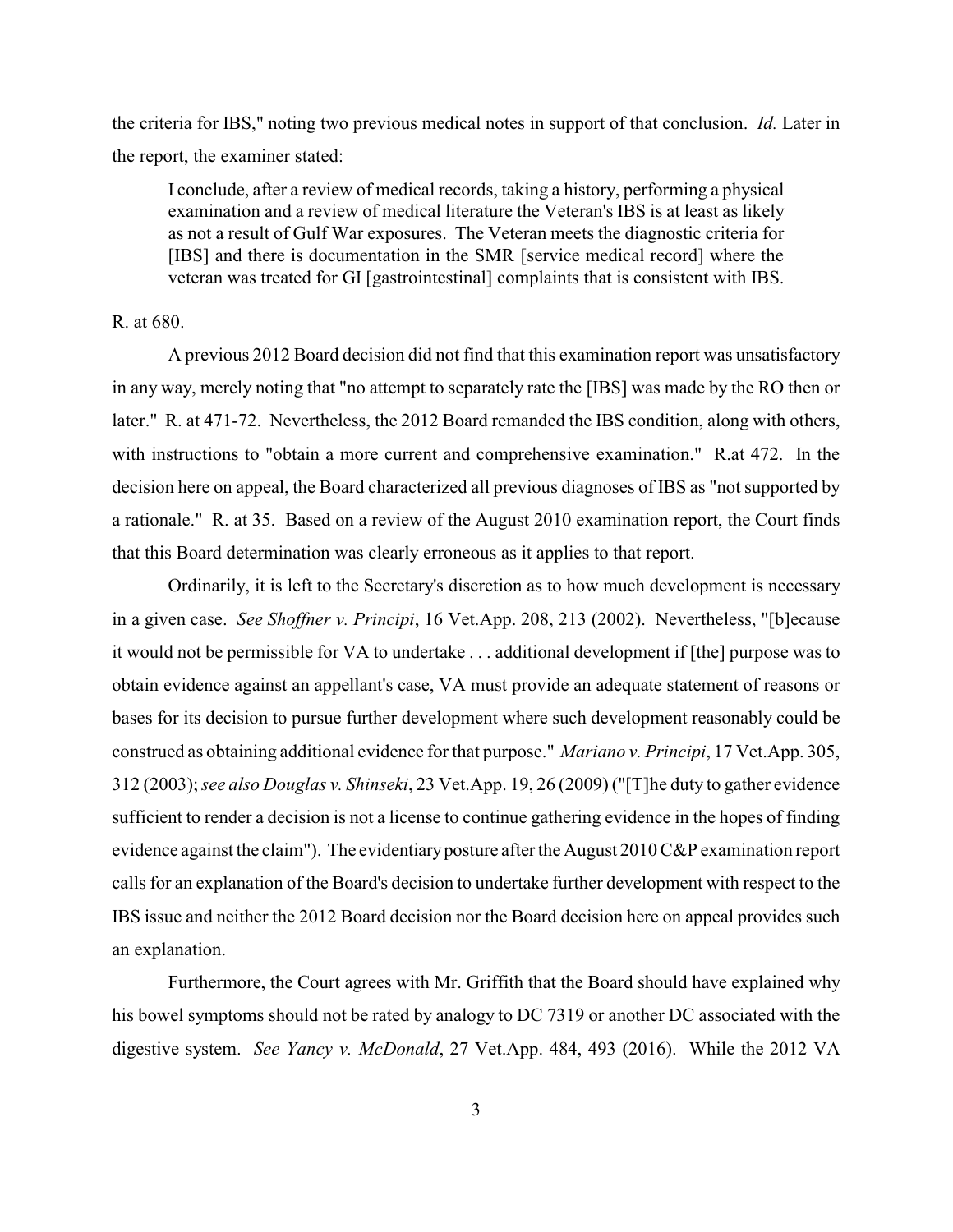the criteria for IBS," noting two previous medical notes in support of that conclusion. *Id.* Later in the report, the examiner stated:

I conclude, after a review of medical records, taking a history, performing a physical examination and a review of medical literature the Veteran's IBS is at least as likely as not a result of Gulf War exposures. The Veteran meets the diagnostic criteria for [IBS] and there is documentation in the SMR [service medical record] where the veteran was treated for GI [gastrointestinal] complaints that is consistent with IBS.

#### R. at 680.

A previous 2012 Board decision did not find that this examination report was unsatisfactory in any way, merely noting that "no attempt to separately rate the [IBS] was made by the RO then or later." R. at 471-72. Nevertheless, the 2012 Board remanded the IBS condition, along with others, with instructions to "obtain a more current and comprehensive examination." R.at 472. In the decision here on appeal, the Board characterized all previous diagnoses of IBS as "not supported by a rationale." R. at 35. Based on a review of the August 2010 examination report, the Court finds that this Board determination was clearly erroneous as it applies to that report.

Ordinarily, it is left to the Secretary's discretion as to how much development is necessary in a given case. *See Shoffner v. Principi*, 16 Vet.App. 208, 213 (2002). Nevertheless, "[b]ecause it would not be permissible for VA to undertake . . . additional development if [the] purpose was to obtain evidence against an appellant's case, VA must provide an adequate statement of reasons or bases for its decision to pursue further development where such development reasonably could be construed as obtaining additional evidence for that purpose." *Mariano v. Principi*, 17 Vet.App. 305, 312 (2003); *see also Douglas v. Shinseki*, 23 Vet.App. 19, 26 (2009) ("[T]he duty to gather evidence sufficient to render a decision is not a license to continue gathering evidence in the hopes of finding evidence against the claim"). The evidentiary posture after the August 2010 C&P examination report calls for an explanation of the Board's decision to undertake further development with respect to the IBS issue and neither the 2012 Board decision nor the Board decision here on appeal provides such an explanation.

Furthermore, the Court agrees with Mr. Griffith that the Board should have explained why his bowel symptoms should not be rated by analogy to DC 7319 or another DC associated with the digestive system. *See Yancy v. McDonald*, 27 Vet.App. 484, 493 (2016). While the 2012 VA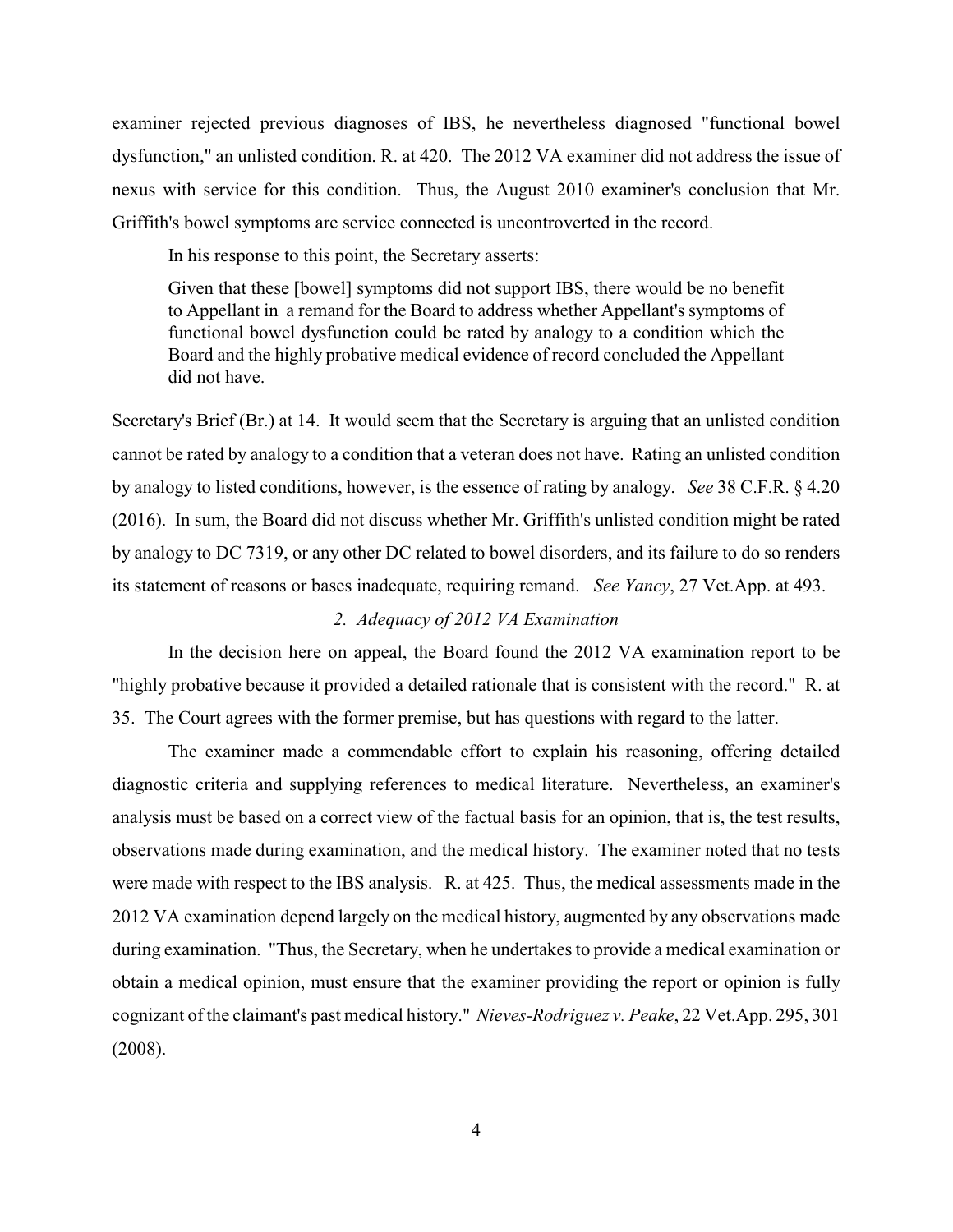examiner rejected previous diagnoses of IBS, he nevertheless diagnosed "functional bowel dysfunction," an unlisted condition. R. at 420. The 2012 VA examiner did not address the issue of nexus with service for this condition. Thus, the August 2010 examiner's conclusion that Mr. Griffith's bowel symptoms are service connected is uncontroverted in the record.

In his response to this point, the Secretary asserts:

Given that these [bowel] symptoms did not support IBS, there would be no benefit to Appellant in a remand for the Board to address whether Appellant's symptoms of functional bowel dysfunction could be rated by analogy to a condition which the Board and the highly probative medical evidence of record concluded the Appellant did not have.

Secretary's Brief (Br.) at 14. It would seem that the Secretary is arguing that an unlisted condition cannot be rated by analogy to a condition that a veteran does not have. Rating an unlisted condition by analogy to listed conditions, however, is the essence of rating by analogy. *See* 38 C.F.R. § 4.20 (2016). In sum, the Board did not discuss whether Mr. Griffith's unlisted condition might be rated by analogy to DC 7319, or any other DC related to bowel disorders, and its failure to do so renders its statement of reasons or bases inadequate, requiring remand. *See Yancy*, 27 Vet.App. at 493.

### *2. Adequacy of 2012 VA Examination*

In the decision here on appeal, the Board found the 2012 VA examination report to be "highly probative because it provided a detailed rationale that is consistent with the record." R. at 35. The Court agrees with the former premise, but has questions with regard to the latter.

The examiner made a commendable effort to explain his reasoning, offering detailed diagnostic criteria and supplying references to medical literature. Nevertheless, an examiner's analysis must be based on a correct view of the factual basis for an opinion, that is, the test results, observations made during examination, and the medical history. The examiner noted that no tests were made with respect to the IBS analysis. R. at 425. Thus, the medical assessments made in the 2012 VA examination depend largely on the medical history, augmented by any observations made during examination. "Thus, the Secretary, when he undertakes to provide a medical examination or obtain a medical opinion, must ensure that the examiner providing the report or opinion is fully cognizant of the claimant's past medical history." *Nieves-Rodriguez v. Peake*, 22 Vet.App. 295, 301 (2008).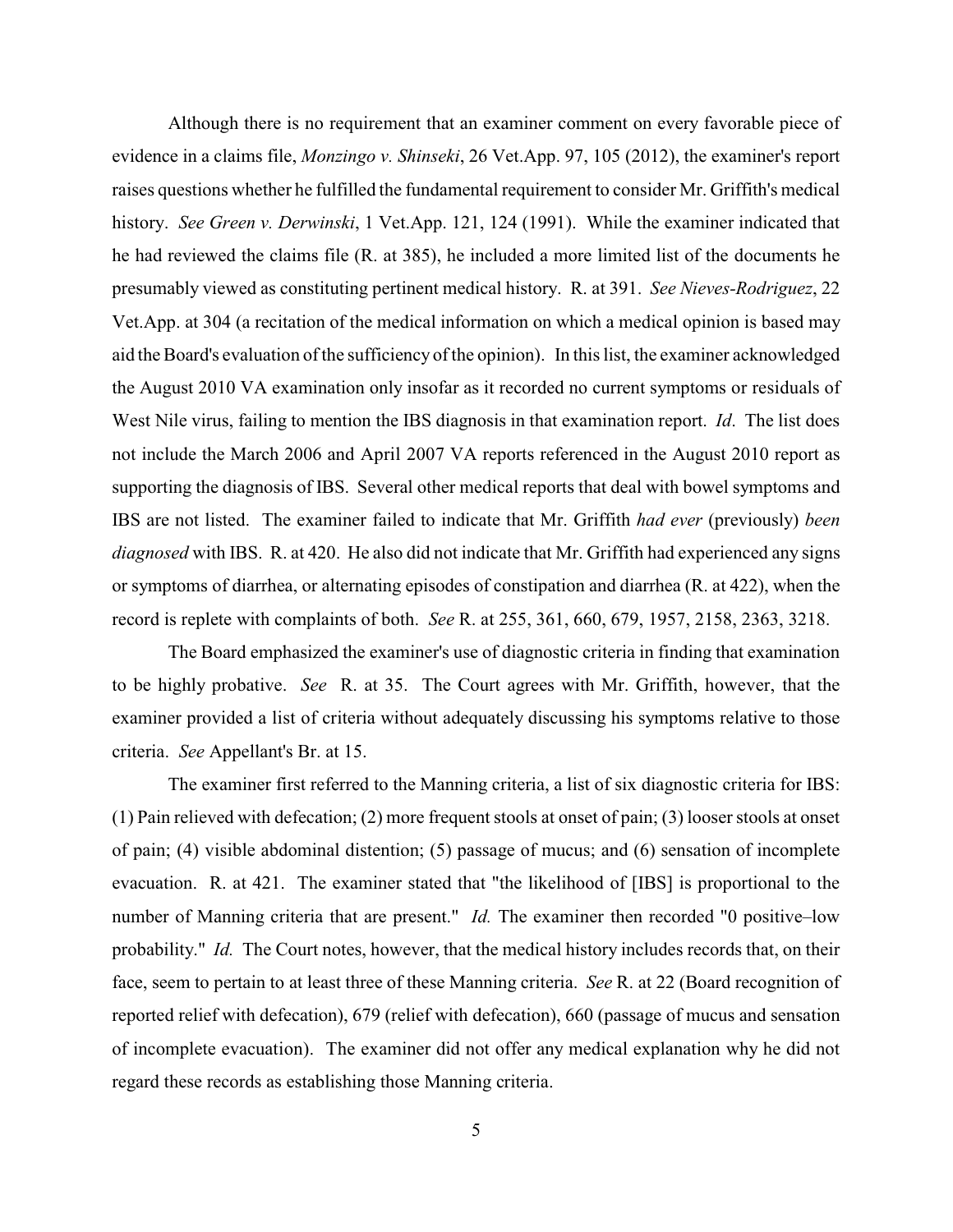Although there is no requirement that an examiner comment on every favorable piece of evidence in a claims file, *Monzingo v. Shinseki*, 26 Vet.App. 97, 105 (2012), the examiner's report raises questions whether he fulfilled the fundamental requirement to consider Mr. Griffith's medical history. *See Green v. Derwinski*, 1 Vet.App. 121, 124 (1991). While the examiner indicated that he had reviewed the claims file (R. at 385), he included a more limited list of the documents he presumably viewed as constituting pertinent medical history. R. at 391. *See Nieves-Rodriguez*, 22 Vet.App. at 304 (a recitation of the medical information on which a medical opinion is based may aid the Board's evaluation of the sufficiency of the opinion). In this list, the examiner acknowledged the August 2010 VA examination only insofar as it recorded no current symptoms or residuals of West Nile virus, failing to mention the IBS diagnosis in that examination report. *Id*. The list does not include the March 2006 and April 2007 VA reports referenced in the August 2010 report as supporting the diagnosis of IBS. Several other medical reports that deal with bowel symptoms and IBS are not listed. The examiner failed to indicate that Mr. Griffith *had ever* (previously) *been diagnosed* with IBS. R. at 420. He also did not indicate that Mr. Griffith had experienced any signs or symptoms of diarrhea, or alternating episodes of constipation and diarrhea (R. at 422), when the record is replete with complaints of both. *See* R. at 255, 361, 660, 679, 1957, 2158, 2363, 3218.

The Board emphasized the examiner's use of diagnostic criteria in finding that examination to be highly probative. *See* R. at 35. The Court agrees with Mr. Griffith, however, that the examiner provided a list of criteria without adequately discussing his symptoms relative to those criteria. *See* Appellant's Br. at 15.

The examiner first referred to the Manning criteria, a list of six diagnostic criteria for IBS: (1) Pain relieved with defecation; (2) more frequent stools at onset of pain; (3) looser stools at onset of pain; (4) visible abdominal distention; (5) passage of mucus; and (6) sensation of incomplete evacuation. R. at 421. The examiner stated that "the likelihood of [IBS] is proportional to the number of Manning criteria that are present." *Id.* The examiner then recorded "0 positive–low probability." *Id.* The Court notes, however, that the medical history includes records that, on their face, seem to pertain to at least three of these Manning criteria. *See* R. at 22 (Board recognition of reported relief with defecation), 679 (relief with defecation), 660 (passage of mucus and sensation of incomplete evacuation). The examiner did not offer any medical explanation why he did not regard these records as establishing those Manning criteria.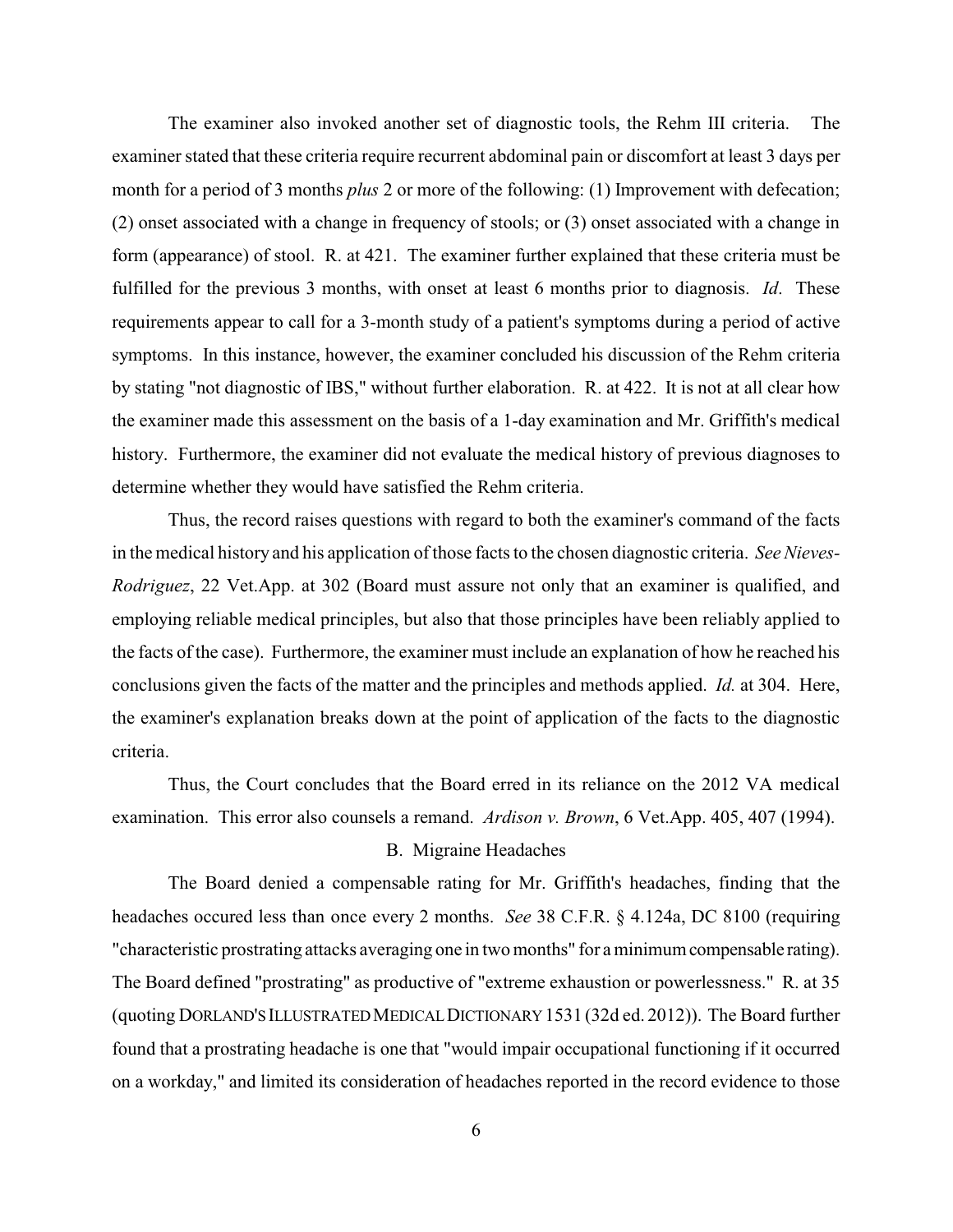The examiner also invoked another set of diagnostic tools, the Rehm III criteria. The examiner stated that these criteria require recurrent abdominal pain or discomfort at least 3 days per month for a period of 3 months *plus* 2 or more of the following: (1) Improvement with defecation; (2) onset associated with a change in frequency of stools; or (3) onset associated with a change in form (appearance) of stool. R. at 421. The examiner further explained that these criteria must be fulfilled for the previous 3 months, with onset at least 6 months prior to diagnosis. *Id*. These requirements appear to call for a 3-month study of a patient's symptoms during a period of active symptoms. In this instance, however, the examiner concluded his discussion of the Rehm criteria by stating "not diagnostic of IBS," without further elaboration. R. at 422. It is not at all clear how the examiner made this assessment on the basis of a 1-day examination and Mr. Griffith's medical history. Furthermore, the examiner did not evaluate the medical history of previous diagnoses to determine whether they would have satisfied the Rehm criteria.

Thus, the record raises questions with regard to both the examiner's command of the facts in the medical history and his application of those facts to the chosen diagnostic criteria. *See Nieves-Rodriguez*, 22 Vet.App. at 302 (Board must assure not only that an examiner is qualified, and employing reliable medical principles, but also that those principles have been reliably applied to the facts of the case). Furthermore, the examiner must include an explanation of how he reached his conclusions given the facts of the matter and the principles and methods applied. *Id.* at 304. Here, the examiner's explanation breaks down at the point of application of the facts to the diagnostic criteria.

Thus, the Court concludes that the Board erred in its reliance on the 2012 VA medical examination. This error also counsels a remand. *Ardison v. Brown*, 6 Vet.App. 405, 407 (1994).

# B. Migraine Headaches

The Board denied a compensable rating for Mr. Griffith's headaches, finding that the headaches occured less than once every 2 months. *See* 38 C.F.R. § 4.124a, DC 8100 (requiring "characteristic prostrating attacks averaging one in two months" for a minimumcompensable rating). The Board defined "prostrating" as productive of "extreme exhaustion or powerlessness." R. at 35 (quoting DORLAND'S ILLUSTRATEDMEDICALDICTIONARY 1531 (32d ed. 2012)). The Board further found that a prostrating headache is one that "would impair occupational functioning if it occurred on a workday," and limited its consideration of headaches reported in the record evidence to those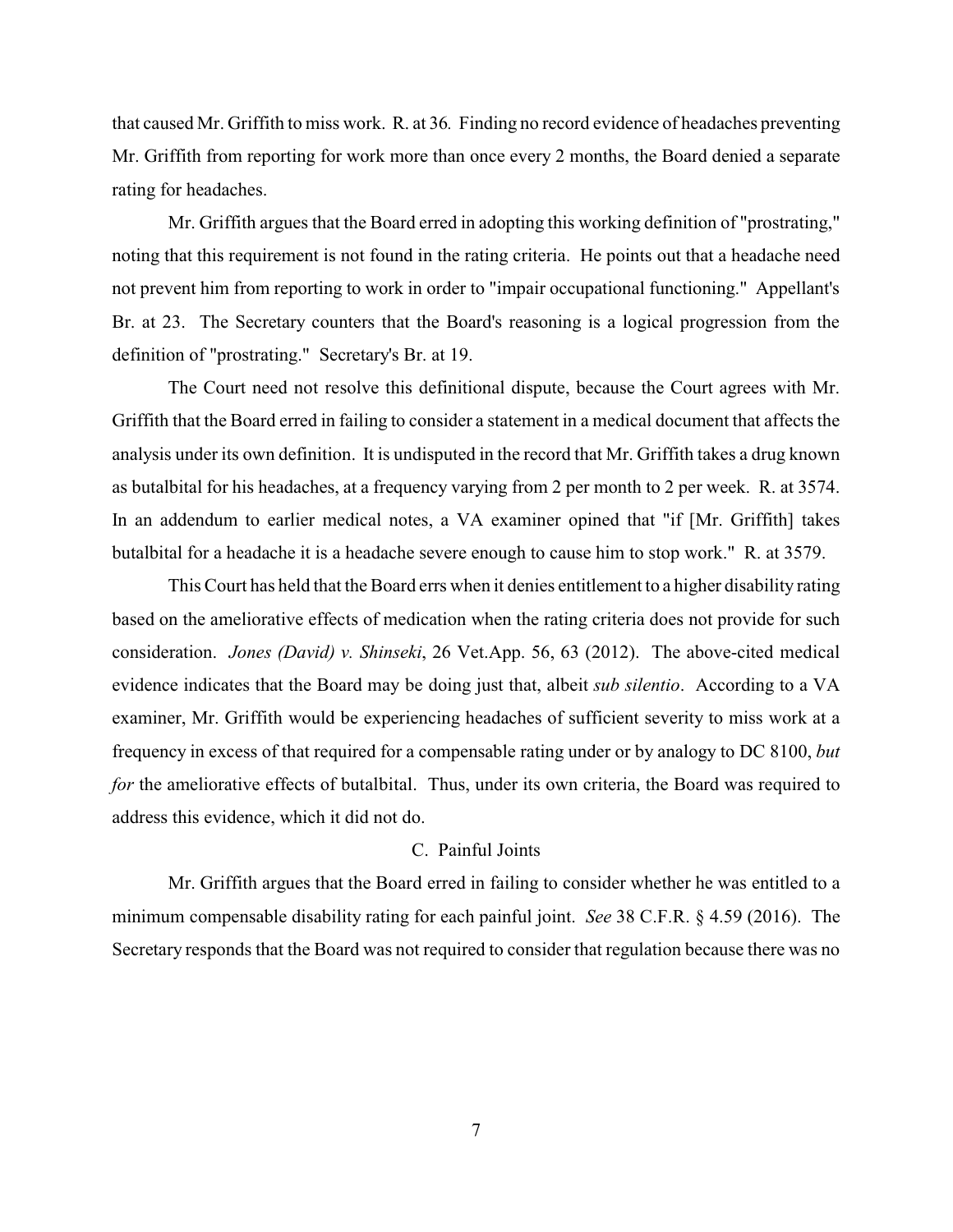that caused Mr. Griffith to miss work. R. at 36*.* Finding no record evidence of headaches preventing Mr. Griffith from reporting for work more than once every 2 months, the Board denied a separate rating for headaches.

Mr. Griffith argues that the Board erred in adopting this working definition of "prostrating," noting that this requirement is not found in the rating criteria. He points out that a headache need not prevent him from reporting to work in order to "impair occupational functioning." Appellant's Br. at 23. The Secretary counters that the Board's reasoning is a logical progression from the definition of "prostrating." Secretary's Br. at 19.

The Court need not resolve this definitional dispute, because the Court agrees with Mr. Griffith that the Board erred in failing to consider a statement in a medical document that affects the analysis under its own definition. It is undisputed in the record that Mr. Griffith takes a drug known as butalbital for his headaches, at a frequency varying from 2 per month to 2 per week. R. at 3574. In an addendum to earlier medical notes, a VA examiner opined that "if [Mr. Griffith] takes butalbital for a headache it is a headache severe enough to cause him to stop work." R. at 3579.

This Court has held that the Board errs when it denies entitlement to a higher disability rating based on the ameliorative effects of medication when the rating criteria does not provide for such consideration. *Jones (David) v. Shinseki*, 26 Vet.App. 56, 63 (2012). The above-cited medical evidence indicates that the Board may be doing just that, albeit *sub silentio*. According to a VA examiner, Mr. Griffith would be experiencing headaches of sufficient severity to miss work at a frequency in excess of that required for a compensable rating under or by analogy to DC 8100, *but for* the ameliorative effects of butalbital. Thus, under its own criteria, the Board was required to address this evidence, which it did not do.

### C.Painful Joints

Mr. Griffith argues that the Board erred in failing to consider whether he was entitled to a minimum compensable disability rating for each painful joint. *See* 38 C.F.R. § 4.59 (2016). The Secretary responds that the Board was not required to consider that regulation because there was no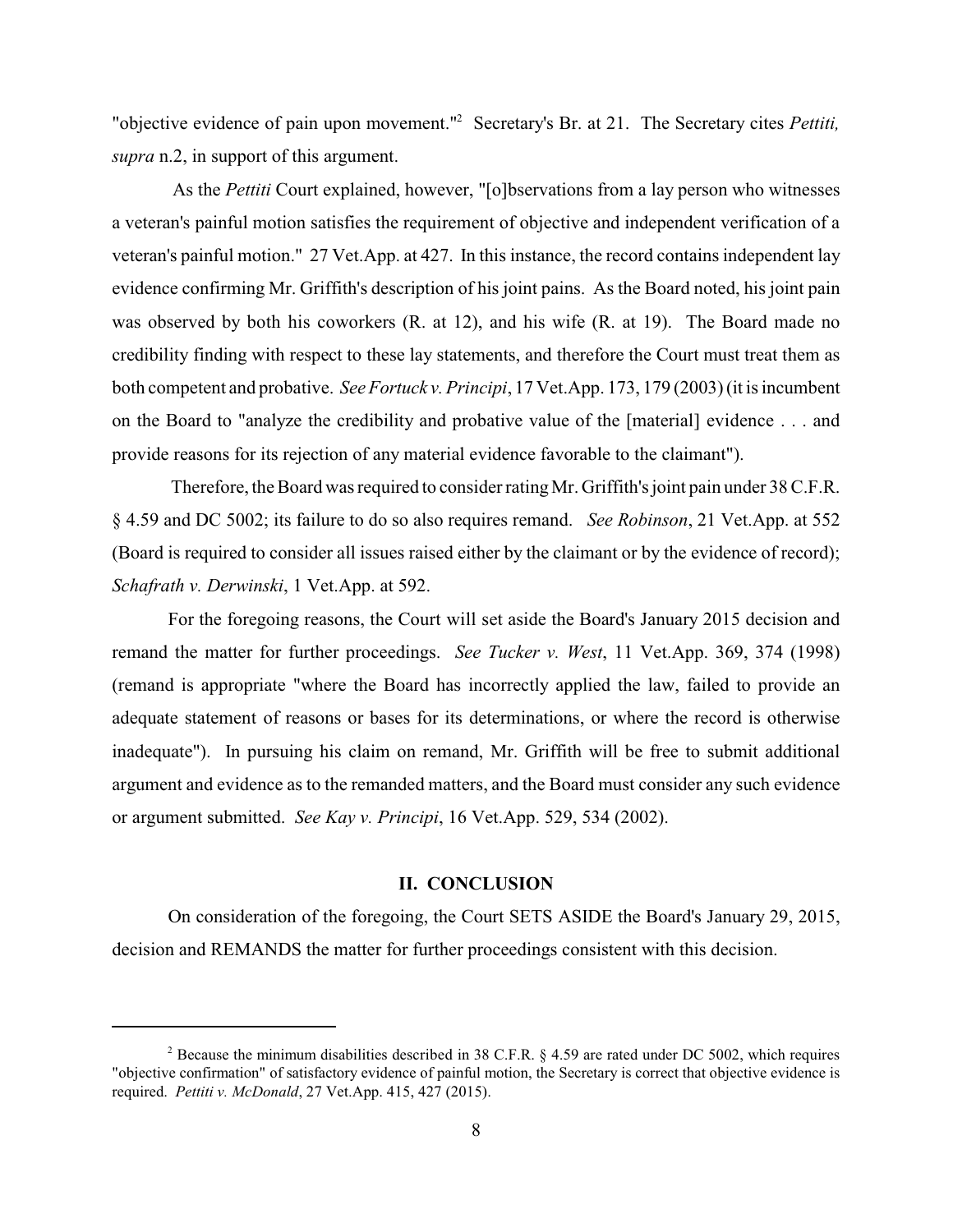"objective evidence of pain upon movement."<sup>2</sup> Secretary's Br. at 21. The Secretary cites *Pettiti*, *supra* n.2, in support of this argument.

As the *Pettiti* Court explained, however, "[o]bservations from a lay person who witnesses a veteran's painful motion satisfies the requirement of objective and independent verification of a veteran's painful motion." 27 Vet.App. at 427. In this instance, the record contains independent lay evidence confirming Mr. Griffith's description of his joint pains. As the Board noted, his joint pain was observed by both his coworkers (R. at 12), and his wife (R. at 19). The Board made no credibility finding with respect to these lay statements, and therefore the Court must treat them as both competent and probative. *See Fortuck v. Principi*, 17 Vet.App. 173, 179 (2003) (it is incumbent on the Board to "analyze the credibility and probative value of the [material] evidence . . . and provide reasons for its rejection of any material evidence favorable to the claimant").

Therefore, the Board was required to consider ratingMr. Griffith's joint pain under 38 C.F.R. § 4.59 and DC 5002; its failure to do so also requires remand. *See Robinson*, 21 Vet.App. at 552 (Board is required to consider all issues raised either by the claimant or by the evidence of record); *Schafrath v. Derwinski*, 1 Vet.App. at 592.

For the foregoing reasons, the Court will set aside the Board's January 2015 decision and remand the matter for further proceedings. *See Tucker v. West*, 11 Vet.App. 369, 374 (1998) (remand is appropriate "where the Board has incorrectly applied the law, failed to provide an adequate statement of reasons or bases for its determinations, or where the record is otherwise inadequate"). In pursuing his claim on remand, Mr. Griffith will be free to submit additional argument and evidence as to the remanded matters, and the Board must consider any such evidence or argument submitted. *See Kay v. Principi*, 16 Vet.App. 529, 534 (2002).

#### **II. CONCLUSION**

On consideration of the foregoing, the Court SETS ASIDE the Board's January 29, 2015, decision and REMANDS the matter for further proceedings consistent with this decision.

<sup>&</sup>lt;sup>2</sup> Because the minimum disabilities described in 38 C.F.R.  $\S$  4.59 are rated under DC 5002, which requires "objective confirmation" of satisfactory evidence of painful motion, the Secretary is correct that objective evidence is required. *Pettiti v. McDonald*, 27 Vet.App. 415, 427 (2015).